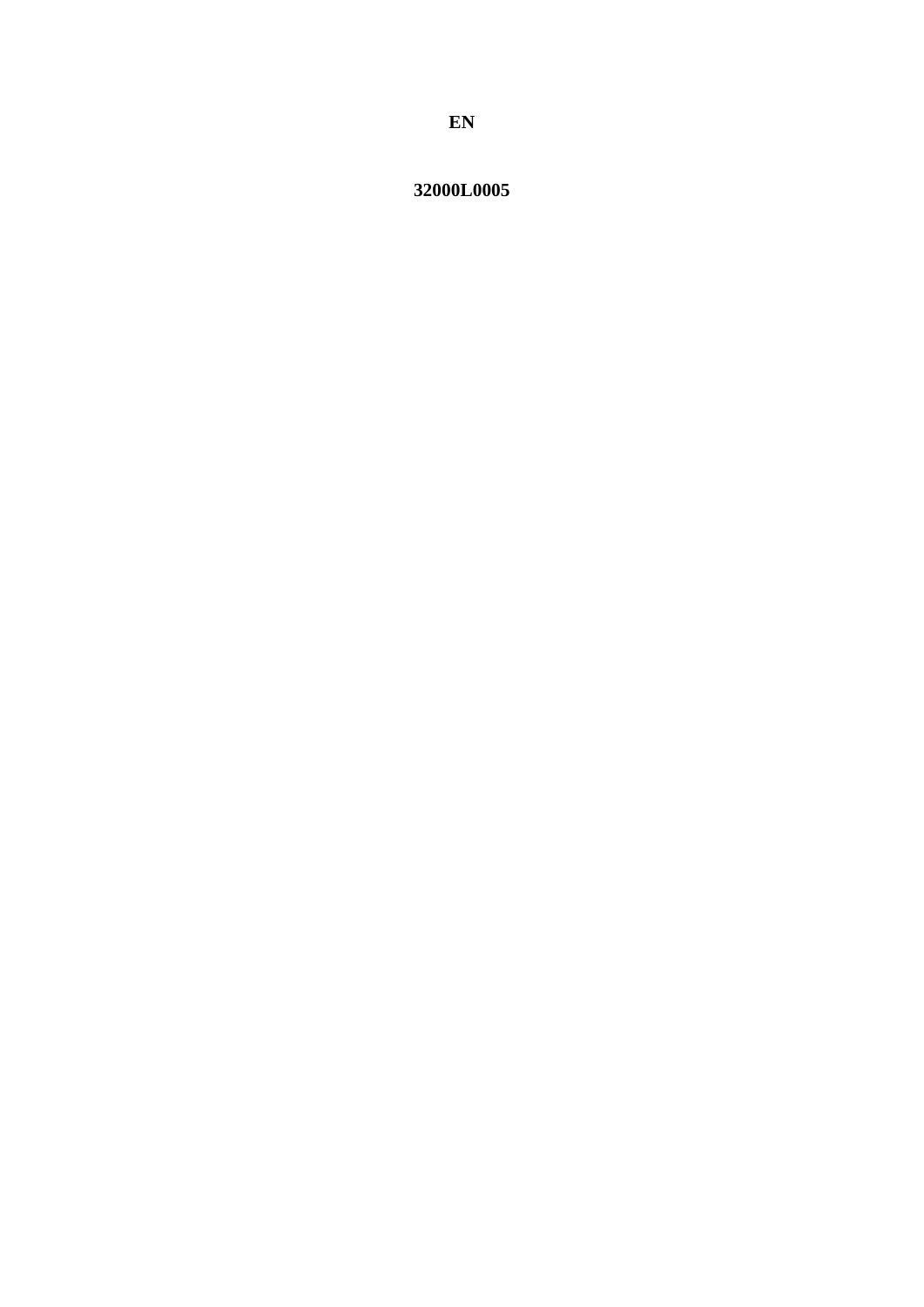32000L0005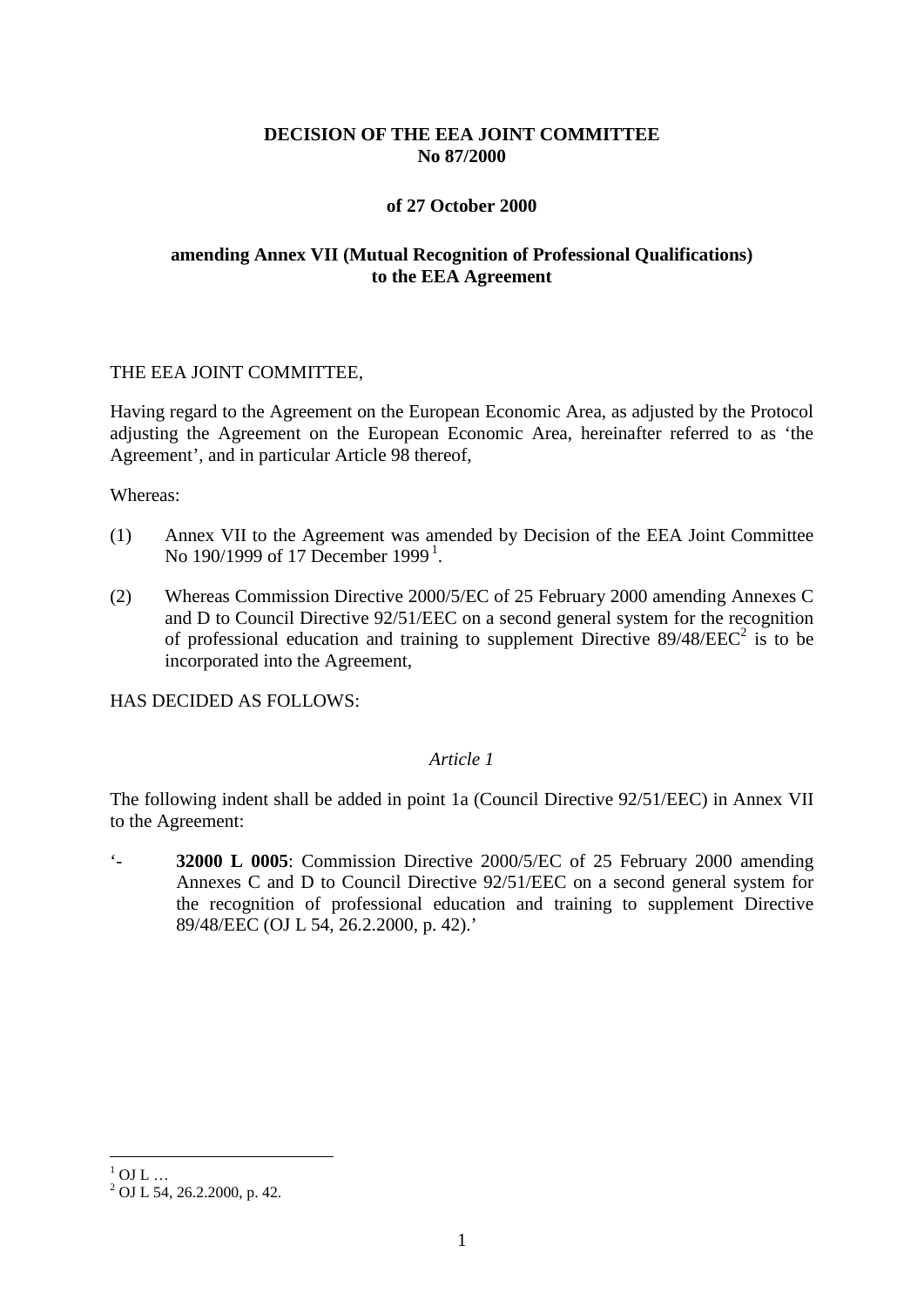# **DECISION OF THE EEA JOINT COMMITTEE No 87/2000**

## **of 27 October 2000**

# **amending Annex VII (Mutual Recognition of Professional Qualifications) to the EEA Agreement**

#### THE EEA JOINT COMMITTEE,

Having regard to the Agreement on the European Economic Area, as adjusted by the Protocol adjusting the Agreement on the European Economic Area, hereinafter referred to as 'the Agreement', and in particular Article 98 thereof,

Whereas:

- (1) Annex VII to the Agreement was amended by Decision of the EEA Joint Committee No [1](#page-1-0)90/1999 of 17 December 1999<sup>1</sup>.
- (2) Whereas Commission Directive 2000/5/EC of 25 February 2000 amending Annexes C and D to Council Directive 92/51/EEC on a second general system for the recognition of professional education and training to supplement Directive  $89/48/EEC^2$  is to be incorporated into the Agreement,

HAS DECIDED AS FOLLOWS:

### *Article 1*

The following indent shall be added in point 1a (Council Directive 92/51/EEC) in Annex VII to the Agreement:

'- **32000 L 0005**: Commission Directive 2000/5/EC of 25 February 2000 amending Annexes C and D to Council Directive 92/51/EEC on a second general system for the recognition of professional education and training to supplement Directive 89/48/EEC (OJ L 54, 26.2.2000, p. 42).'

<span id="page-1-0"></span> $^{1}_{2}$  OJ L ...<br> $^{2}$  OJ L 54, 26.2.2000, p. 42.